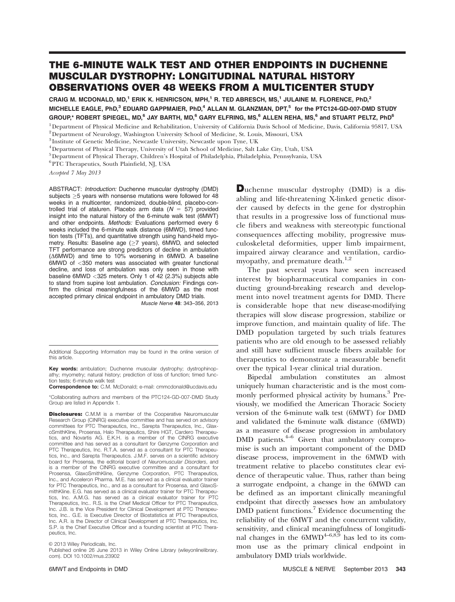# THE 6-MINUTE WALK TEST AND OTHER ENDPOINTS IN DUCHENNE MUSCULAR DYSTROPHY: LONGITUDINAL NATURAL HISTORY OBSERVATIONS OVER 48 WEEKS FROM A MULTICENTER STUDY

CRAIG M. MCDONALD, MD,<sup>1</sup> ERIK K. HENRICSON, MPH,<sup>1</sup> R. TED ABRESCH, MS,<sup>1</sup> JULAINE M. FLORENCE, PhD,<sup>2</sup> MICHELLE EAGLE, PhD,<sup>3</sup> EDUARD GAPPMAIER, PhD,<sup>4</sup> ALLAN M. GLANZMAN, DPT,<sup>5</sup> for the PTC124-GD-007-DMD STUDY GROUP,\* ROBERT SPIEGEL, MD,<sup>6</sup> JAY BARTH, MD,<sup>6</sup> GARY ELFRING, MS,<sup>6</sup> ALLEN REHA, MS,<sup>6</sup> and STUART PELTZ, PhD<sup>6</sup>

<sup>1</sup>Department of Physical Medicine and Rehabilitation, University of California Davis School of Medicine, Davis, California 95817, USA 2Department of Neurology, Washington University School of Medicine, St. Louis, Missouri, USA

<sup>3</sup> Institute of Genetic Medicine, Newcastle University, Newcastle upon Tyne, UK

4Department of Physical Therapy, University of Utah School of Medicine, Salt Lake City, Utah, USA

5Department of Physical Therapy, Children's Hospital of Philadelphia, Philadelphia, Pennsylvania, USA

 $^6\rm PTC$  Therapeutics, South Plainfield, NJ, USA

Accepted 7 May 2013

ABSTRACT: Introduction: Duchenne muscular dystrophy (DMD) subjects  $\geq$ 5 years with nonsense mutations were followed for 48 weeks in a multicenter, randomized, double-blind, placebo-controlled trial of ataluren. Placebo arm data ( $N = 57$ ) provided insight into the natural history of the 6-minute walk test (6MWT) and other endpoints. Methods: Evaluations performed every 6 weeks included the 6-minute walk distance (6MWD), timed function tests (TFTs), and quantitative strength using hand-held myometry. Results: Baseline age  $(\geq 7$  years), 6MWD, and selected TFT performance are strong predictors of decline in ambulation  $(\Delta 6MWD)$  and time to 10% worsening in 6MWD. A baseline 6MWD of <350 meters was associated with greater functional decline, and loss of ambulation was only seen in those with baseline 6MWD <325 meters. Only 1 of 42 (2.3%) subjects able to stand from supine lost ambulation. Conclusion: Findings confirm the clinical meaningfulness of the 6MWD as the most accepted primary clinical endpoint in ambulatory DMD trials.

Muscle Nerve 48: 343–356, 2013

Additional Supporting Information may be found in the online version of this article.

Key words: ambulation; Duchenne muscular dystrophy; dystrophinopathy; myometry; natural history; prediction of loss of function; timed function tests; 6-minute walk test

Correspondence to: C.M. McDonald; e-mail: cmmcdonald@ucdavis.edu

\*Collaborating authors and members of the PTC124-GD-007-DMD Study Group are listed in Appendix 1.

**Disclosures:** C.M.M is a member of the Cooperative Neuromuscular Research Group (CINRG) executive committee and has served on advisory committees for PTC Therapeutics, Inc., Sarepta Therapeutics, Inc., GlaxoSmithKline, Prosensa, Halo Therapeutics, Shire HGT, Cardero Therapeutics, and Novartis AG. E.K.H. is a member of the CINRG executive committee and has served as a consultant for Genzyme Corporation and PTC Therapeutics, Inc. R.T.A. served as a consultant for PTC Therapeutics, Inc., and Sarepta Therapeutics. J.M.F. serves on a scientific advisory board for Prosensa, the editorial board of Neuromuscular Disorders, and is a member of the CINRG executive committee and a consultant for Prosensa, GlaxoSmithKline, Genzyme Corporation, PTC Therapeutics, Inc., and Acceleron Pharma. M.E. has served as a clinical evaluator trainer for PTC Therapeutics, Inc., and as a consultant for Prosensa, and GlaxoSmithKline. E.G. has served as a clinical evaluator trainer for PTC Therapeutics, Inc. A.M.G. has served as a clinical evaluator trainer for PTC Therapeutics, Inc.. R.S. is the Chief Medical Officer for PTC Therapeutics, Inc. J.B. is the Vice President for Clinical Development at PTC Therapeutics, Inc.. G.E. is Executive Director of Biostatistics at PTC Therapeutics, Inc. A.R. is the Director of Clinical Development at PTC Therapeutics, Inc. S.P. is the Chief Executive Officer and a founding scientist at PTC Therapeutics, Inc.

Published online 26 June 2013 in Wiley Online Library (wileyonlinelibrary. com). DOI 10.1002/mus.23902

Duchenne muscular dystrophy (DMD) is a disabling and life-threatening X-linked genetic disorder caused by defects in the gene for dystrophin that results in a progressive loss of functional muscle fibers and weakness with stereotypic functional consequences affecting mobility, progressive musculoskeletal deformities, upper limb impairment, impaired airway clearance and ventilation, cardiomyopathy, and premature death. $1,2$ 

The past several years have seen increased interest by biopharmaceutical companies in conducting ground-breaking research and development into novel treatment agents for DMD. There is considerable hope that new disease-modifying therapies will slow disease progression, stabilize or improve function, and maintain quality of life. The DMD population targeted by such trials features patients who are old enough to be assessed reliably and still have sufficient muscle fibers available for therapeutics to demonstrate a measurable benefit over the typical 1-year clinical trial duration.

Bipedal ambulation constitutes an almost uniquely human characteristic and is the most commonly performed physical activity by humans.<sup>3</sup> Previously, we modified the American Thoracic Society version of the 6-minute walk test (6MWT) for DMD and validated the 6-minute walk distance (6MWD) as a measure of disease progression in ambulatory DMD patients. $4-6$  Given that ambulatory compromise is such an important component of the DMD disease process, improvement in the 6MWD with treatment relative to placebo constitutes clear evidence of therapeutic value. Thus, rather than being a surrogate endpoint, a change in the 6MWD can be defined as an important clinically meaningful endpoint that directly assesses how an ambulatory DMD patient functions.<sup>7</sup> Evidence documenting the reliability of the 6MWT and the concurrent validity, sensitivity, and clinical meaningfulness of longitudinal changes in the  $6MWD^{4-6,8,9}$  has led to its common use as the primary clinical endpoint in ambulatory DMD trials worldwide.

 $©$  2013 Wiley Periodicals, Inc.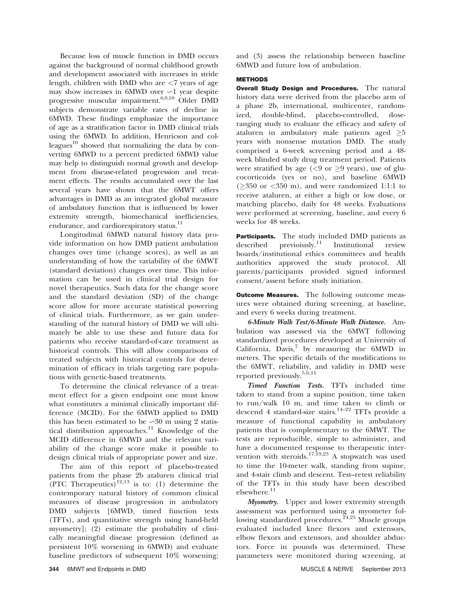Because loss of muscle function in DMD occurs against the background of normal childhood growth and development associated with increases in stride length, children with DMD who are <7 years of age may show increases in 6MWD over  $\sim$ 1 year despite progressive muscular impairment.6,9,10 Older DMD subjects demonstrate variable rates of decline in 6MWD. These findings emphasize the importance of age as a stratification factor in DMD clinical trials using the 6MWD. In addition, Henricson and colleagues $^{10}$  showed that normalizing the data by converting 6MWD to a percent predicted 6MWD value may help to distinguish normal growth and development from disease-related progression and treatment effects. The results accumulated over the last several years have shown that the 6MWT offers advantages in DMD as an integrated global measure of ambulatory function that is influenced by lower extremity strength, biomechanical inefficiencies, endurance, and cardiorespiratory status.<sup>11</sup>

Longitudinal 6MWD natural history data provide information on how DMD patient ambulation changes over time (change scores), as well as an understanding of how the variability of the 6MWT (standard deviation) changes over time. This information can be used in clinical trial design for novel therapeutics. Such data for the change score and the standard deviation (SD) of the change score allow for more accurate statistical powering of clinical trials. Furthermore, as we gain understanding of the natural history of DMD we will ultimately be able to use these and future data for patients who receive standard-of-care treatment as historical controls. This will allow comparisons of treated subjects with historical controls for determination of efficacy in trials targeting rare populations with genetic-based treatments.

To determine the clinical relevance of a treatment effect for a given endpoint one must know what constitutes a minimal clinically important difference (MCID). For the 6MWD applied to DMD this has been estimated to be  $\sim 30$  m using 2 statistical distribution approaches.<sup>11</sup> Knowledge of the MCID difference in 6MWD and the relevant variability of the change score make it possible to design clinical trials of appropriate power and size.

The aim of this report of placebo-treated patients from the phase 2b ataluren clinical trial (PTC Therapeutics)<sup>12,13</sup> is to: (1) determine the contemporary natural history of common clinical measures of disease progression in ambulatory DMD subjects [6MWD, timed function tests (TFTs), and quantitative strength using hand-held myometry]; (2) estimate the probability of clinically meaningful disease progression (defined as persistent 10% worsening in 6MWD) and evaluate baseline predictors of subsequent 10% worsening;

and (3) assess the relationship between baseline 6MWD and future loss of ambulation.

# **METHODS**

**Overall Study Design and Procedures.** The natural history data were derived from the placebo arm of a phase 2b, international, multicenter, randomized, double-blind, placebo-controlled, doseranging study to evaluate the efficacy and safety of ataluren in ambulatory male patients aged  $\geq 5$ years with nonsense mutation DMD. The study comprised a 6-week screening period and a 48 week blinded study drug treatment period. Patients were stratified by age ( $<$ 9 or  $\geq$ 9 years), use of glucocorticoids (yes or no), and baseline 6MWD  $(\geq 350 \text{ or } < 350 \text{ m})$ , and were randomized 1:1:1 to receive ataluren, at either a high or low dose, or matching placebo, daily for 48 weeks. Evaluations were performed at screening, baseline, and every 6 weeks for 48 weeks.

Participants. The study included DMD patients as described previously.<sup>11</sup> Institutional review boards/institutional ethics committees and health authorities approved the study protocol. All parents/participants provided signed informed consent/assent before study initiation.

**Outcome Measures.** The following outcome measures were obtained during screening, at baseline, and every 6 weeks during treatment.

6-Minute Walk Test/6-Minute Walk Distance. Ambulation was assessed via the 6MWT following standardized procedures developed at University of California,  $\vec{D}$ avis,<sup>7</sup> by measuring the  $6MWD$  in meters. The specific details of the modifications to the 6MWT, reliability, and validity in DMD were reported previously.<sup>5,6,11</sup>

Timed Function Tests. TFTs included time taken to stand from a supine position, time taken to run/walk 10 m, and time taken to climb or descend 4 standard-size stairs.<sup>14–22</sup> TFTs provide a measure of functional capability in ambulatory patients that is complementary to the 6MWT. The tests are reproducible, simple to administer, and have a documented response to therapeutic intervention with steroids.<sup>17,19,23</sup> A stopwatch was used to time the 10-meter walk, standing from supine, and 4-stair climb and descent. Test–retest reliability of the TFTs in this study have been described elsewhere.<sup>11</sup>

Myometry. Upper and lower extremity strength assessment was performed using a myometer following standardized procedures.<sup>24,25</sup> Muscle groups evaluated included knee flexors and extensors, elbow flexors and extensors, and shoulder abductors. Force in pounds was determined. These parameters were monitored during screening, at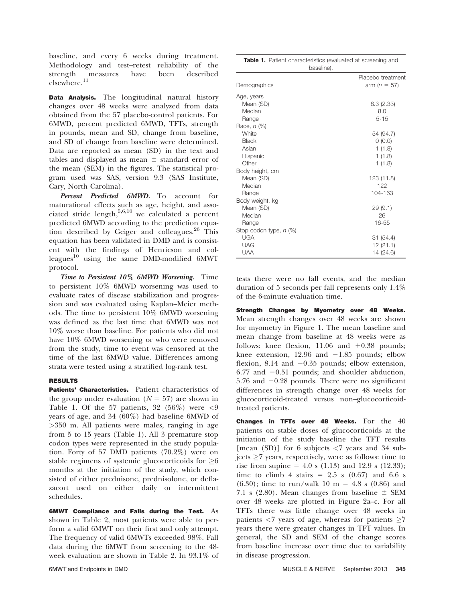baseline, and every 6 weeks during treatment. Methodology and test–retest reliability of the strength measures have been described elsewhere. $^{11}$ 

**Data Analysis.** The longitudinal natural history changes over 48 weeks were analyzed from data obtained from the 57 placebo-control patients. For 6MWD, percent predicted 6MWD, TFTs, strength in pounds, mean and SD, change from baseline, and SD of change from baseline were determined. Data are reported as mean (SD) in the text and tables and displayed as mean  $\pm$  standard error of the mean (SEM) in the figures. The statistical program used was SAS, version 9.3 (SAS Institute, Cary, North Carolina).

Percent Predicted 6MWD. To account for maturational effects such as age, height, and associated stride length,<sup>5,6,10</sup> we calculated a percent predicted 6MWD according to the prediction equation described by Geiger and colleagues.<sup>26</sup> This equation has been validated in DMD and is consistent with the findings of Henricson and colleagues<sup>10</sup> using the same DMD-modified  $6MWT$ protocol.

Time to Persistent 10% 6MWD Worsening. Time to persistent 10% 6MWD worsening was used to evaluate rates of disease stabilization and progression and was evaluated using Kaplan–Meier methods. The time to persistent 10% 6MWD worsening was defined as the last time that 6MWD was not 10% worse than baseline. For patients who did not have 10% 6MWD worsening or who were removed from the study, time to event was censored at the time of the last 6MWD value. Differences among strata were tested using a stratified log-rank test.

# RESULTS

Patients' Characteristics. Patient characteristics of the group under evaluation  $(N = 57)$  are shown in Table 1. Of the 57 patients, 32 (56%) were  $\langle 9 \rangle$ years of age, and 34 (60%) had baseline 6MWD of >350 m. All patients were males, ranging in age from 5 to 15 years (Table 1). All 3 premature stop codon types were represented in the study population. Forty of 57 DMD patients (70.2%) were on stable regimens of systemic glucocorticoids for  $\geq 6$ months at the initiation of the study, which consisted of either prednisone, prednisolone, or deflazacort used on either daily or intermittent schedules.

6MWT Compliance and Falls during the Test. As shown in Table 2, most patients were able to perform a valid 6MWT on their first and only attempt. The frequency of valid 6MWTs exceeded 98%. Fall data during the 6MWT from screening to the 48 week evaluation are shown in Table 2. In 93.1% of

| <b>Table 1.</b> Patient characteristics (evaluated at screening and<br>baseline). |                                       |  |  |  |  |  |  |
|-----------------------------------------------------------------------------------|---------------------------------------|--|--|--|--|--|--|
| Demographics                                                                      | Placebo treatment<br>arm ( $n = 57$ ) |  |  |  |  |  |  |
| Age, years                                                                        |                                       |  |  |  |  |  |  |
| Mean (SD)                                                                         | 8.3(2.33)                             |  |  |  |  |  |  |
| Median                                                                            | 8.0                                   |  |  |  |  |  |  |
| Range                                                                             | $5 - 15$                              |  |  |  |  |  |  |
| Race, n (%)                                                                       |                                       |  |  |  |  |  |  |
| White                                                                             | 54 (94.7)                             |  |  |  |  |  |  |
| <b>Black</b>                                                                      | 0(0.0)                                |  |  |  |  |  |  |
| Asian                                                                             | 1(1.8)                                |  |  |  |  |  |  |
| Hispanic                                                                          | 1(1.8)                                |  |  |  |  |  |  |
| Other                                                                             | 1(1.8)                                |  |  |  |  |  |  |
| Body height, cm                                                                   |                                       |  |  |  |  |  |  |
| Mean (SD)                                                                         | 123 (11.8)                            |  |  |  |  |  |  |
| Median                                                                            | 122                                   |  |  |  |  |  |  |
| Range                                                                             | 104-163                               |  |  |  |  |  |  |
| Body weight, kg                                                                   |                                       |  |  |  |  |  |  |
| Mean (SD)                                                                         | 29(9.1)                               |  |  |  |  |  |  |
| Median                                                                            | 26                                    |  |  |  |  |  |  |
| Range                                                                             | $16 - 55$                             |  |  |  |  |  |  |
| Stop codon type, n (%)                                                            |                                       |  |  |  |  |  |  |
| <b>UGA</b>                                                                        | 31 (54.4)                             |  |  |  |  |  |  |
| <b>UAG</b>                                                                        | 12(21.1)                              |  |  |  |  |  |  |
| <b>UAA</b>                                                                        | 14 (24.6)                             |  |  |  |  |  |  |

tests there were no fall events, and the median duration of 5 seconds per fall represents only 1.4% of the 6-minute evaluation time.

Strength Changes by Myometry over 48 Weeks. Mean strength changes over 48 weeks are shown for myometry in Figure 1. The mean baseline and mean change from baseline at 48 weeks were as follows: knee flexion,  $11.06$  and  $+0.38$  pounds; knee extension,  $12.96$  and  $-1.85$  pounds; elbow flexion, 8.14 and  $-0.35$  pounds; elbow extension,  $6.77$  and  $-0.51$  pounds; and shoulder abduction,  $5.76$  and  $-0.28$  pounds. There were no significant differences in strength change over 48 weeks for glucocorticoid-treated versus non–glucocorticoidtreated patients.

Changes in TFTs over 48 Weeks. For the  $40$ patients on stable doses of glucocorticoids at the initiation of the study baseline the TFT results [mean (SD)] for 6 subjects  $\langle 7 \rangle$  years and 34 subjects  $\geq$ 7 years, respectively, were as follows: time to rise from supine = 4.0 s (1.13) and 12.9 s (12.33); time to climb 4 stairs =  $2.5$  s (0.67) and 6.6 s  $(6.30)$ ; time to run/walk 10 m = 4.8 s (0.86) and 7.1 s (2.80). Mean changes from baseline  $\pm$  SEM over 48 weeks are plotted in Figure 2a–c. For all TFTs there was little change over 48 weeks in patients  $\langle 7 \rangle$  years of age, whereas for patients  $\geq 7$ years there were greater changes in TFT values. In general, the SD and SEM of the change scores from baseline increase over time due to variability in disease progression.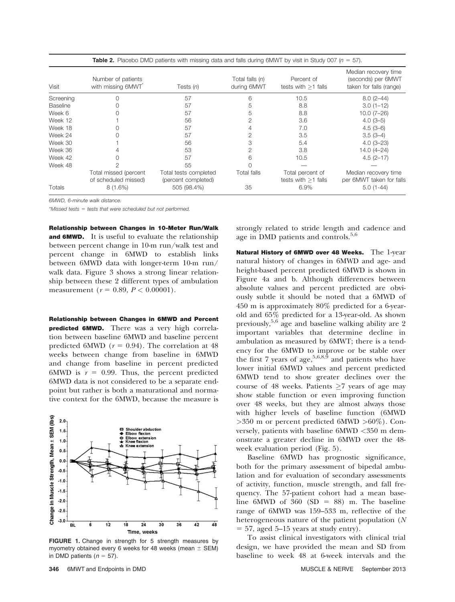|           | $\blacksquare$ . The contract the contract three manipulation is the coming change of the contract of the contract of the |                                              |                                  |                                           |                                                                       |  |  |  |  |  |
|-----------|---------------------------------------------------------------------------------------------------------------------------|----------------------------------------------|----------------------------------|-------------------------------------------|-----------------------------------------------------------------------|--|--|--|--|--|
| Visit     | Number of patients<br>with missing 6MWT                                                                                   | Tests $(n)$                                  | Total falls $(n)$<br>during 6MWT | Percent of<br>tests with $>1$ falls       | Median recovery time<br>(seconds) per 6MWT<br>taken for falls (range) |  |  |  |  |  |
| Screening |                                                                                                                           | 57                                           | 6                                | 10.5                                      | $8.0(2-44)$                                                           |  |  |  |  |  |
| Baseline  |                                                                                                                           | 57                                           |                                  | 8.8                                       | $3.0(1 - 12)$                                                         |  |  |  |  |  |
| Week 6    |                                                                                                                           | 57                                           |                                  | 8.8                                       | $10.0(7-26)$                                                          |  |  |  |  |  |
| Week 12   |                                                                                                                           | 56                                           |                                  | 3.6                                       | $4.0(3-5)$                                                            |  |  |  |  |  |
| Week 18   |                                                                                                                           | 57                                           |                                  | 7.0                                       | $4.5(3-6)$                                                            |  |  |  |  |  |
| Week 24   |                                                                                                                           | 57                                           |                                  | 3.5                                       | $3.5(3-4)$                                                            |  |  |  |  |  |
| Week 30   |                                                                                                                           | 56                                           | З                                | 5.4                                       | $4.0(3-23)$                                                           |  |  |  |  |  |
| Week 36   |                                                                                                                           | 53                                           | 2                                | 3.8                                       | $14.0(4 - 24)$                                                        |  |  |  |  |  |
| Week 42   |                                                                                                                           | 57                                           | հ                                | 10.5                                      | $4.5(2 - 17)$                                                         |  |  |  |  |  |
| Week 48   |                                                                                                                           | 55                                           |                                  |                                           |                                                                       |  |  |  |  |  |
|           | Total missed (percent<br>of scheduled missed)                                                                             | Total tests completed<br>(percent completed) | <b>Total falls</b>               | Total percent of<br>tests with $>1$ falls | Median recovery time<br>per 6MWT taken for falls                      |  |  |  |  |  |
| Totals    | $8(1.6\%)$                                                                                                                | 505 (98.4%)                                  | 35                               | 6.9%                                      | $5.0(1-44)$                                                           |  |  |  |  |  |

**Table 2.** Placebo DMD patients with missing data and falls during 6MWT by visit in Study 007 ( $n = 57$ ).

6MWD, 6-minute walk distance.

 $*$ Missed tests = tests that were scheduled but not performed.

Relationship between Changes in 10-Meter Run/Walk **and 6MWD.** It is useful to evaluate the relationship between percent change in 10-m run/walk test and percent change in 6MWD to establish links between 6MWD data with longer-term 10-m run/ walk data. Figure 3 shows a strong linear relationship between these 2 different types of ambulation measurement ( $r = 0.89$ ,  $P < 0.00001$ ).

Relationship between Changes in 6MWD and Percent **predicted 6MWD.** There was a very high correlation between baseline 6MWD and baseline percent predicted 6MWD ( $r = 0.94$ ). The correlation at 48 weeks between change from baseline in 6MWD and change from baseline in percent predicted 6MWD is  $r = 0.99$ . Thus, the percent predicted 6MWD data is not considered to be a separate endpoint but rather is both a maturational and normative context for the 6MWD, because the measure is



FIGURE 1. Change in strength for 5 strength measures by myometry obtained every 6 weeks for 48 weeks (mean  $\pm$  SEM) in DMD patients ( $n = 57$ ).

strongly related to stride length and cadence and age in DMD patients and controls.<sup>5,6</sup>

Natural History of 6MWD over 48 Weeks. The 1-year natural history of changes in 6MWD and age- and height-based percent predicted 6MWD is shown in Figure 4a and b. Although differences between absolute values and percent predicted are obviously subtle it should be noted that a 6MWD of 450 m is approximately 80% predicted for a 6-yearold and 65% predicted for a 13-year-old. As shown previously,  $5.6$  age and baseline walking ability are 2 important variables that determine decline in ambulation as measured by 6MWT; there is a tendency for the 6MWD to improve or be stable over the first 7 years of age,  $5,6,8,9$  and patients who have lower initial 6MWD values and percent predicted 6MWD tend to show greater declines over the course of 48 weeks. Patients  $\geq 7$  years of age may show stable function or even improving function over 48 weeks, but they are almost always those with higher levels of baseline function (6MWD >350 m or percent predicted 6MWD >60%). Conversely, patients with baseline 6MWD <350 m demonstrate a greater decline in 6MWD over the 48 week evaluation period (Fig. 5).

Baseline 6MWD has prognostic significance, both for the primary assessment of bipedal ambulation and for evaluation of secondary assessments of activity, function, muscle strength, and fall frequency. The 57-patient cohort had a mean baseline 6MWD of 360 (SD = 88) m. The baseline range of 6MWD was 159–533 m, reflective of the heterogeneous nature of the patient population (N  $= 57$ , aged 5–15 years at study entry).

To assist clinical investigators with clinical trial design, we have provided the mean and SD from baseline to week 48 at 6-week intervals and the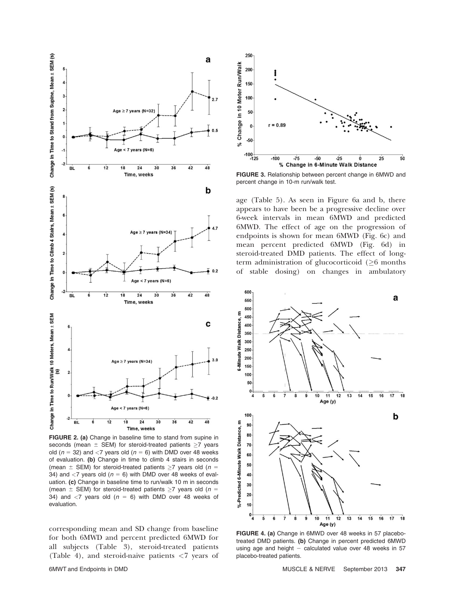

FIGURE 2. (a) Change in baseline time to stand from supine in seconds (mean  $\pm$  SEM) for steroid-treated patients  $\geq$ 7 years old ( $n = 32$ ) and <7 years old ( $n = 6$ ) with DMD over 48 weeks of evaluation. (b) Change in time to climb 4 stairs in seconds (mean  $\pm$  SEM) for steroid-treated patients  $\geq$ 7 years old (n = 34) and  $\langle 7 \rangle$  years old ( $n = 6$ ) with DMD over 48 weeks of evaluation. (c) Change in baseline time to run/walk 10 m in seconds (mean  $\pm$  SEM) for steroid-treated patients  $\geq$ 7 years old (n = 34) and  $\langle 7 \rangle$  years old ( $n = 6$ ) with DMD over 48 weeks of evaluation.

corresponding mean and SD change from baseline for both 6MWD and percent predicted 6MWD for all subjects (Table 3), steroid-treated patients (Table 4), and steroid-naive patients <7 years of



FIGURE 3. Relationship between percent change in 6MWD and percent change in 10-m run/walk test.

age (Table 5). As seen in Figure 6a and b, there appears to have been be a progressive decline over 6-week intervals in mean 6MWD and predicted 6MWD. The effect of age on the progression of endpoints is shown for mean 6MWD (Fig. 6c) and mean percent predicted 6MWD (Fig. 6d) in steroid-treated DMD patients. The effect of longterm administration of glucocorticoid  $(\geq 6$  months of stable dosing) on changes in ambulatory



FIGURE 4. (a) Change in 6MWD over 48 weeks in 57 placebotreated DMD patients. (b) Change in percent predicted 6MWD using age and height  $-$  calculated value over 48 weeks in 57 placebo-treated patients.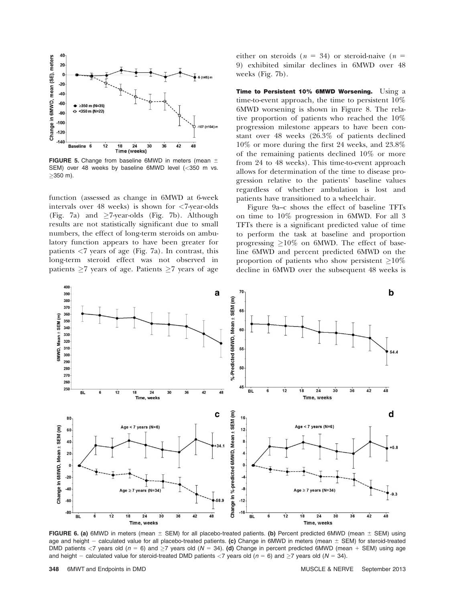

FIGURE 5. Change from baseline 6MWD in meters (mean  $\pm$ SEM) over 48 weeks by baseline 6MWD level (<350 m vs.  $\geq$ 350 m).

function (assessed as change in 6MWD at 6-week intervals over 48 weeks) is shown for <7-year-olds (Fig. 7a) and  $\geq$ 7-year-olds (Fig. 7b). Although results are not statistically significant due to small numbers, the effect of long-term steroids on ambulatory function appears to have been greater for patients  $<$ 7 years of age (Fig. 7a). In contrast, this long-term steroid effect was not observed in patients  $\geq 7$  years of age. Patients  $\geq 7$  years of age

either on steroids ( $n = 34$ ) or steroid-naive ( $n =$ 9) exhibited similar declines in 6MWD over 48 weeks (Fig. 7b).

Time to Persistent 10% 6MWD Worsening. Using a time-to-event approach, the time to persistent 10% 6MWD worsening is shown in Figure 8. The relative proportion of patients who reached the 10% progression milestone appears to have been constant over 48 weeks (26.3% of patients declined 10% or more during the first 24 weeks, and 23.8% of the remaining patients declined 10% or more from 24 to 48 weeks). This time-to-event approach allows for determination of the time to disease progression relative to the patients' baseline values regardless of whether ambulation is lost and patients have transitioned to a wheelchair.

Figure 9a–c shows the effect of baseline TFTs on time to 10% progression in 6MWD. For all 3 TFTs there is a significant predicted value of time to perform the task at baseline and proportion progressing  $\geq$ 10% on 6MWD. The effect of baseline 6MWD and percent predicted 6MWD on the proportion of patients who show persistent  $\geq$ 10% decline in 6MWD over the subsequent 48 weeks is



FIGURE 6. (a) 6MWD in meters (mean  $\pm$  SEM) for all placebo-treated patients. (b) Percent predicted 6MWD (mean  $\pm$  SEM) using age and height - calculated value for all placebo-treated patients. (c) Change in 6MWD in meters (mean  $\pm$  SEM) for steroid-treated DMD patients  $<$ 7 years old (n = 6) and  $\geq$ 7 years old (N = 34). (d) Change in percent predicted 6MWD (mean + SEM) using age and height – calculated value for steroid-treated DMD patients <7 years old ( $n = 6$ ) and  $\geq$ 7 years old ( $N = 34$ ).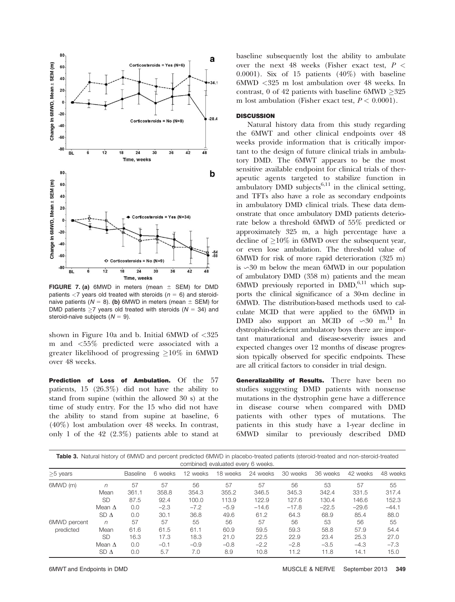

FIGURE 7. (a) 6MWD in meters (mean  $\pm$  SEM) for DMD patients  $\langle 7 \rangle$  years old treated with steroids ( $n = 6$ ) and steroidnaive patients ( $N = 8$ ). (b) 6MWD in meters (mean  $\pm$  SEM) for DMD patients  $\geq$ 7 years old treated with steroids ( $N = 34$ ) and steroid-naive subjects  $(N = 9)$ .

shown in Figure 10a and b. Initial 6MWD of <325 m and <55% predicted were associated with a greater likelihood of progressing  $\geq$ 10% in 6MWD over 48 weeks.

Prediction of Loss of Ambulation. Of the 57 patients, 15 (26.3%) did not have the ability to stand from supine (within the allowed 30 s) at the time of study entry. For the 15 who did not have the ability to stand from supine at baseline, 6 (40%) lost ambulation over 48 weeks. In contrast, only 1 of the 42 (2.3%) patients able to stand at baseline subsequently lost the ability to ambulate over the next 48 weeks (Fisher exact test,  $P <$  $0.0001$ ). Six of 15 patients  $(40\%)$  with baseline 6MWD <325 m lost ambulation over 48 weeks. In contrast, 0 of 42 patients with baseline  $6MWD \geq 325$ m lost ambulation (Fisher exact test,  $P < 0.0001$ ).

# **DISCUSSION**

Natural history data from this study regarding the 6MWT and other clinical endpoints over 48 weeks provide information that is critically important to the design of future clinical trials in ambulatory DMD. The 6MWT appears to be the most sensitive available endpoint for clinical trials of therapeutic agents targeted to stabilize function in ambulatory DMD subjects<sup>6,11</sup> in the clinical setting, and TFTs also have a role as secondary endpoints in ambulatory DMD clinical trials. These data demonstrate that once ambulatory DMD patients deteriorate below a threshold 6MWD of 55% predicted or approximately 325 m, a high percentage have a decline of  $\geq$ 10% in 6MWD over the subsequent year, or even lose ambulation. The threshold value of 6MWD for risk of more rapid deterioration (325 m) is  $\sim$ 30 m below the mean 6MWD in our population of ambulatory DMD (358 m) patients and the mean  $6MWD$  previously reported in  $DMD$ , $6,11$  which supports the clinical significance of a 30-m decline in 6MWD. The distribution-based methods used to calculate MCID that were applied to the 6MWD in DMD also support an MCID of  $\sim 30$  m.<sup>11</sup> In dystrophin-deficient ambulatory boys there are important maturational and disease-severity issues and expected changes over 12 months of disease progression typically observed for specific endpoints. These are all critical factors to consider in trial design.

Generalizability of Results. There have been no studies suggesting DMD patients with nonsense mutations in the dystrophin gene have a difference in disease course when compared with DMD patients with other types of mutations. The patients in this study have a 1-year decline in 6MWD similar to previously described DMD

| Table 3. Natural history of 6MWD and percent predicted 6MWD in placebo-treated patients (steroid-treated and non-steroid-treated<br>combined) evaluated every 6 weeks. |                                                            |                                   |                                       |                                        |                                        |                                         |                                         |                                         |                                         |                                         |
|------------------------------------------------------------------------------------------------------------------------------------------------------------------------|------------------------------------------------------------|-----------------------------------|---------------------------------------|----------------------------------------|----------------------------------------|-----------------------------------------|-----------------------------------------|-----------------------------------------|-----------------------------------------|-----------------------------------------|
| $>5$ years                                                                                                                                                             |                                                            | Baseline                          | 6 weeks                               | 12 weeks                               | 18 weeks                               | 24 weeks                                | 30 weeks                                | 36 weeks                                | 42 weeks                                | 48 weeks                                |
| 6MWD (m)                                                                                                                                                               | n<br>Mean<br><b>SD</b><br>Mean $\Delta$<br>SD <sub>A</sub> | 57<br>361.1<br>87.5<br>0.0<br>0.0 | 57<br>358.8<br>92.4<br>$-2.3$<br>30.1 | 56<br>354.3<br>100.0<br>$-7.2$<br>36.8 | 57<br>355.2<br>113.9<br>$-5.9$<br>49.6 | 57<br>346.5<br>122.9<br>$-14.6$<br>61.2 | 56<br>345.3<br>127.6<br>$-17.8$<br>64.3 | 53<br>342.4<br>130.4<br>$-22.5$<br>68.9 | 57<br>331.5<br>146.6<br>$-29.6$<br>85.4 | 55<br>317.4<br>152.3<br>$-44.1$<br>88.0 |
| 6MWD percent<br>predicted                                                                                                                                              | n<br>Mean<br>SD<br>Mean $\Lambda$<br>$SD \Delta$           | 57<br>61.6<br>16.3<br>0.0<br>0.0  | 57<br>61.5<br>17.3<br>$-0.1$<br>5.7   | 55<br>61.1<br>18.3<br>$-0.9$<br>7.0    | 56<br>60.9<br>21.0<br>$-0.8$<br>8.9    | 57<br>59.5<br>22.5<br>$-2.2$<br>10.8    | 56<br>59.3<br>22.9<br>$-2.8$<br>11.2    | 53<br>58.8<br>23.4<br>$-3.5$<br>11.8    | 56<br>57.9<br>25.3<br>$-4.3$<br>14.1    | 55<br>54.4<br>27.0<br>$-7.3$<br>15.0    |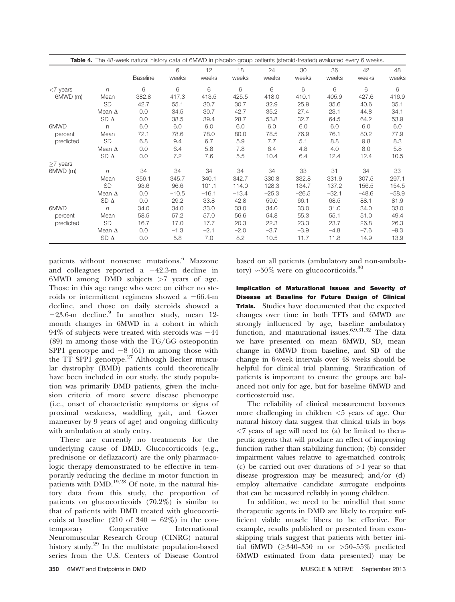|             |               |                 | 6       | 12      | 18      | 24      | 30      | 36      | 42      | 48      |
|-------------|---------------|-----------------|---------|---------|---------|---------|---------|---------|---------|---------|
|             |               | <b>Baseline</b> | weeks   | weeks   | weeks   | weeks   | weeks   | weeks   | weeks   | weeks   |
| $<$ 7 years | $\eta$        | 6               | 6       | 6       | 6       | 6       | 6       | 6       | 6       | 6       |
| 6MWD (m)    | Mean          | 382.8           | 417.3   | 413.5   | 425.5   | 418.0   | 410.1   | 405.9   | 427.6   | 416.9   |
|             | <b>SD</b>     | 42.7            | 55.1    | 30.7    | 30.7    | 32.9    | 25.9    | 35.6    | 40.6    | 35.1    |
|             | Mean $\Delta$ | 0.0             | 34.5    | 30.7    | 42.7    | 35.2    | 27.4    | 23.1    | 44.8    | 34.1    |
|             | SD $\Delta$   | 0.0             | 38.5    | 39.4    | 28.7    | 53.8    | 32.7    | 64.5    | 64.2    | 53.9    |
| 6MWD        | n             | 6.0             | 6.0     | 6.0     | 6.0     | 6.0     | 6.0     | 6.0     | 6.0     | 6.0     |
| percent     | Mean          | 72.1            | 78.6    | 78.0    | 80.0    | 78.5    | 76.9    | 76.1    | 80.2    | 77.9    |
| predicted   | <b>SD</b>     | 6.8             | 9.4     | 6.7     | 5.9     | 7.7     | 5.1     | 8.8     | 9.8     | 8.3     |
|             | Mean $\Delta$ | 0.0             | 6.4     | 5.8     | 7.8     | 6.4     | 4.8     | 4.0     | 8.0     | 5.8     |
|             | SD $\Delta$   | 0.0             | 7.2     | 7.6     | 5.5     | 10.4    | 6.4     | 12.4    | 12.4    | 10.5    |
| $>7$ years  |               |                 |         |         |         |         |         |         |         |         |
| 6MWD (m)    | $\sqrt{n}$    | 34              | 34      | 34      | 34      | 34      | 33      | 31      | 34      | 33      |
|             | Mean          | 356.1           | 345.7   | 340.1   | 342.7   | 330.8   | 332.8   | 331.9   | 307.5   | 297.1   |
|             | <b>SD</b>     | 93.6            | 96.6    | 101.1   | 114.0   | 128.3   | 134.7   | 137.2   | 156.5   | 154.5   |
|             | Mean $\Delta$ | 0.0             | $-10.5$ | $-16.1$ | $-13.4$ | $-25.3$ | $-26.5$ | $-32.1$ | $-48.6$ | $-58.9$ |
|             | SD $\Delta$   | 0.0             | 29.2    | 33.8    | 42.8    | 59.0    | 66.1    | 68.5    | 88.1    | 81.9    |
| 6MWD        | $\eta$        | 34.0            | 34.0    | 33.0    | 33.0    | 34.0    | 33.0    | 31.0    | 34.0    | 33.0    |
| percent     | Mean          | 58.5            | 57.2    | 57.0    | 56.6    | 54.8    | 55.3    | 55.1    | 51.0    | 49.4    |
| predicted   | <b>SD</b>     | 16.7            | 17.0    | 17.7    | 20.3    | 22.3    | 23.3    | 23.7    | 26.8    | 26.3    |
|             | Mean $\Delta$ | 0.0             | $-1.3$  | $-2.1$  | $-2.0$  | $-3.7$  | $-3.9$  | $-4.8$  | $-7.6$  | $-9.3$  |
|             | SD $\Delta$   | 0.0             | 5.8     | 7.0     | 8.2     | 10.5    | 11.7    | 11.8    | 14.9    | 13.9    |

patients without nonsense mutations.<sup>6</sup> Mazzone and colleagues reported a  $-42.3$ -m decline in 6MWD among DMD subjects  $>7$  years of age. Those in this age range who were on either no steroids or intermittent regimens showed a  $-66.4$ -m decline, and those on daily steroids showed a  $-23.6$ -m decline.<sup>9</sup> In another study, mean 12month changes in 6MWD in a cohort in which  $94\%$  of subjects were treated with steroids was  $-44$ (89) m among those with the TG/GG osteopontin SPP1 genotype and  $-8$  (61) m among those with the TT SPP1 genotype.<sup>27</sup> Although Becker muscular dystrophy (BMD) patients could theoretically have been included in our study, the study population was primarily DMD patients, given the inclusion criteria of more severe disease phenotype (i.e., onset of characteristic symptoms or signs of proximal weakness, waddling gait, and Gower maneuver by 9 years of age) and ongoing difficulty with ambulation at study entry.

There are currently no treatments for the underlying cause of DMD. Glucocorticoids (e.g., prednisone or deflazacort) are the only pharmacologic therapy demonstrated to be effective in temporarily reducing the decline in motor function in patients with  $DMD.$ <sup>19,28</sup> Of note, in the natural history data from this study, the proportion of patients on glucocorticoids (70.2%) is similar to that of patients with DMD treated with glucocorticoids at baseline (210 of  $340 = 62\%$ ) in the contemporary Cooperative International Neuromuscular Research Group (CINRG) natural history study.<sup>29</sup> In the multistate population-based series from the U.S. Centers of Disease Control

based on all patients (ambulatory and non-ambulatory)  $\sim 50\%$  were on glucocorticoids.<sup>30</sup>

Implication of Maturational Issues and Severity of Disease at Baseline for Future Design of Clinical Trials. Studies have documented that the expected changes over time in both TFTs and 6MWD are strongly influenced by age, baseline ambulatory function, and maturational issues.<sup>6,9,31,32</sup> The data we have presented on mean 6MWD, SD, mean change in 6MWD from baseline, and SD of the change in 6-week intervals over 48 weeks should be helpful for clinical trial planning. Stratification of patients is important to ensure the groups are balanced not only for age, but for baseline 6MWD and corticosteroid use.

The reliability of clinical measurement becomes more challenging in children <5 years of age. Our natural history data suggest that clinical trials in boys <7 years of age will need to: (a) be limited to therapeutic agents that will produce an effect of improving function rather than stabilizing function; (b) consider impairment values relative to age-matched controls; (c) be carried out over durations of  $>1$  year so that disease progression may be measured; and/or (d) employ alternative candidate surrogate endpoints that can be measured reliably in young children.

In addition, we need to be mindful that some therapeutic agents in DMD are likely to require sufficient viable muscle fibers to be effective. For example, results published or presented from exonskipping trials suggest that patients with better initial 6MWD ( $\geq$ 340–350 m or  $>$ 50–55% predicted 6MWD estimated from data presented) may be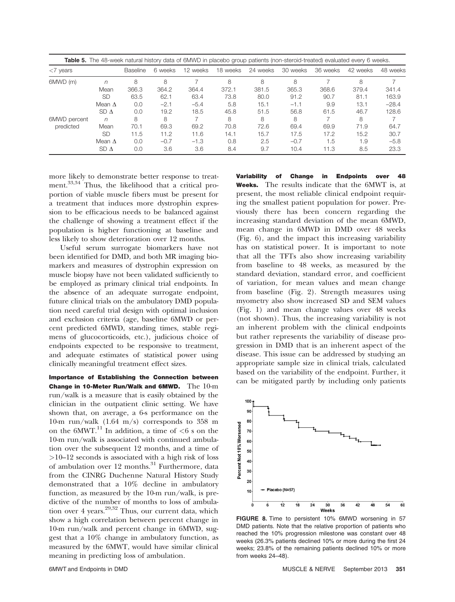| <b>Table 5.</b> The 48-week natural history data of 6MWD in placebo group patients (non-steroid-treated) evaluated every 6 weeks. |                 |                 |         |          |          |          |          |          |          |          |  |
|-----------------------------------------------------------------------------------------------------------------------------------|-----------------|-----------------|---------|----------|----------|----------|----------|----------|----------|----------|--|
| $<$ 7 years                                                                                                                       |                 | <b>Baseline</b> | 6 weeks | 12 weeks | 18 weeks | 24 weeks | 30 weeks | 36 weeks | 42 weeks | 48 weeks |  |
| 6MWD (m)                                                                                                                          | n               | 8               | 8       |          | 8        | 8        | 8        |          | 8        |          |  |
|                                                                                                                                   | Mean            | 366.3           | 364.2   | 364.4    | 372.1    | 381.5    | 365.3    | 368.6    | 379.4    | 341.4    |  |
|                                                                                                                                   | SD              | 63.5            | 62.1    | 63.4     | 73.8     | 80.0     | 91.2     | 90.7     | 81.1     | 163.9    |  |
|                                                                                                                                   | Mean $\Delta$   | 0.0             | $-2.1$  | $-5.4$   | 5.8      | 15.1     | $-1.1$   | 9.9      | 13.1     | $-28.4$  |  |
|                                                                                                                                   | SDA             | 0.0             | 19.2    | 18.5     | 45.8     | 51.5     | 56.8     | 61.5     | 46.7     | 128.6    |  |
| 6MWD percent                                                                                                                      | $\sqrt{n}$      | 8               | 8       |          | 8        | 8        | 8        |          | 8        |          |  |
| predicted                                                                                                                         | Mean            | 70.1            | 69.3    | 69.2     | 70.8     | 72.6     | 69.4     | 69.9     | 71.9     | 64.7     |  |
|                                                                                                                                   | SD              | 11.5            | 11.2    | 11.6     | 14.1     | 15.7     | 17.5     | 17.2     | 15.2     | 30.7     |  |
|                                                                                                                                   | Mean $\Lambda$  | 0.0             | $-0.7$  | $-1.3$   | 0.8      | 2.5      | $-0.7$   | 1.5      | 1.9      | $-5.8$   |  |
|                                                                                                                                   | SD <sub>Λ</sub> | 0.0             | 3.6     | 3.6      | 8.4      | 9.7      | 10.4     | 11.3     | 8.5      | 23.3     |  |

more likely to demonstrate better response to treatment.<sup>33,34</sup> Thus, the likelihood that a critical proportion of viable muscle fibers must be present for a treatment that induces more dystrophin expression to be efficacious needs to be balanced against the challenge of showing a treatment effect if the population is higher functioning at baseline and less likely to show deterioration over 12 months.

Useful serum surrogate biomarkers have not been identified for DMD, and both MR imaging biomarkers and measures of dystrophin expression on muscle biopsy have not been validated sufficiently to be employed as primary clinical trial endpoints. In the absence of an adequate surrogate endpoint, future clinical trials on the ambulatory DMD population need careful trial design with optimal inclusion and exclusion criteria (age, baseline 6MWD or percent predicted 6MWD, standing times, stable regimens of glucocorticoids, etc.), judicious choice of endpoints expected to be responsive to treatment, and adequate estimates of statistical power using clinically meaningful treatment effect sizes.

Importance of Establishing the Connection between Change in 10-Meter Run/Walk and 6MWD. The 10-m run/walk is a measure that is easily obtained by the clinician in the outpatient clinic setting. We have shown that, on average, a 6-s performance on the 10-m run/walk (1.64 m/s) corresponds to 358 m on the  $6MWT<sup>11</sup>$  In addition, a time of  $\leq 6$  s on the 10-m run/walk is associated with continued ambulation over the subsequent 12 months, and a time of >10–12 seconds is associated with a high risk of loss of ambulation over 12 months.<sup>31</sup> Furthermore, data from the CINRG Duchenne Natural History Study demonstrated that a 10% decline in ambulatory function, as measured by the 10-m run/walk, is predictive of the number of months to loss of ambulation over 4 years.<sup>29,32</sup> Thus, our current data, which show a high correlation between percent change in 10-m run/walk and percent change in 6MWD, suggest that a 10% change in ambulatory function, as measured by the 6MWT, would have similar clinical meaning in predicting loss of ambulation.

Variability of Change in Endpoints over 48 Weeks. The results indicate that the 6MWT is, at present, the most reliable clinical endpoint requiring the smallest patient population for power. Previously there has been concern regarding the increasing standard deviation of the mean 6MWD, mean change in 6MWD in DMD over 48 weeks (Fig. 6), and the impact this increasing variability has on statistical power. It is important to note that all the TFTs also show increasing variability from baseline to 48 weeks, as measured by the standard deviation, standard error, and coefficient of variation, for mean values and mean change from baseline (Fig. 2). Strength measures using myometry also show increased SD and SEM values (Fig. 1) and mean change values over 48 weeks (not shown). Thus, the increasing variability is not an inherent problem with the clinical endpoints but rather represents the variability of disease progression in DMD that is an inherent aspect of the disease. This issue can be addressed by studying an appropriate sample size in clinical trials, calculated based on the variability of the endpoint. Further, it can be mitigated partly by including only patients



FIGURE 8. Time to persistent 10% 6MWD worsening in 57 DMD patients. Note that the relative proportion of patients who reached the 10% progression milestone was constant over 48 weeks (26.3% patients declined 10% or more during the first 24 weeks; 23.8% of the remaining patients declined 10% or more from weeks 24–48).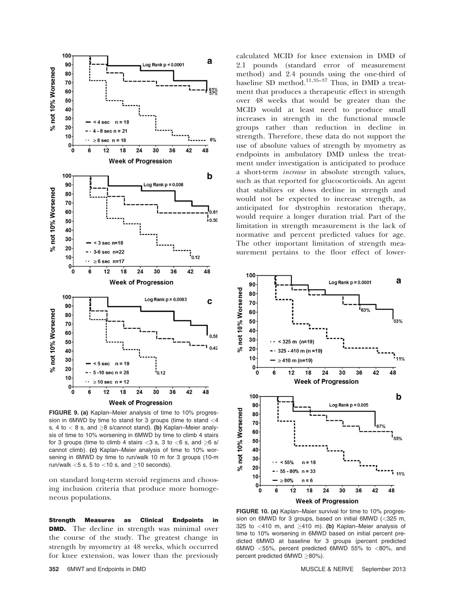

FIGURE 9. (a) Kaplan–Meier analysis of time to 10% progression in 6MWD by time to stand for 3 groups (time to stand <4 s, 4 to  $<$  8 s, and  $\geq$ 8 s/cannot stand). (b) Kaplan–Meier analysis of time to 10% worsening in 6MWD by time to climb 4 stairs for 3 groups (time to climb 4 stairs  $<$ 3 s, 3 to  $<$ 6 s, and  $\geq$ 6 s/ cannot climb). (c) Kaplan–Meier analysis of time to 10% worsening in 6MWD by time to run/walk 10 m for 3 groups (10-m run/walk  $<$ 5 s, 5 to  $<$ 10 s, and  $\geq$ 10 seconds).

on standard long-term steroid regimens and choosing inclusion criteria that produce more homogeneous populations.

Strength Measures as Clinical Endpoints in **DMD.** The decline in strength was minimal over the course of the study. The greatest change in strength by myometry at 48 weeks, which occurred for knee extension, was lower than the previously

calculated MCID for knee extension in DMD of 2.1 pounds (standard error of measurement method) and 2.4 pounds using the one-third of baseline SD method.<sup>11,35-37</sup> Thus, in DMD a treatment that produces a therapeutic effect in strength over 48 weeks that would be greater than the MCID would at least need to produce small increases in strength in the functional muscle groups rather than reduction in decline in strength. Therefore, these data do not support the use of absolute values of strength by myometry as endpoints in ambulatory DMD unless the treatment under investigation is anticipated to produce a short-term increase in absolute strength values, such as that reported for glucocorticoids. An agent that stabilizes or slows decline in strength and would not be expected to increase strength, as anticipated for dystrophin restoration therapy, would require a longer duration trial. Part of the limitation in strength measurement is the lack of normative and percent predicted values for age. The other important limitation of strength measurement pertains to the floor effect of lower-



FIGURE 10. (a) Kaplan–Maier survival for time to 10% progression on 6MWD for 3 groups, based on initial 6MWD (<325 m, 325 to  $<$ 410 m, and  $\geq$ 410 m). (b) Kaplan–Meier analysis of time to 10% worsening in 6MWD based on initial percent predicted 6MWD at baseline for 3 groups (percent predicted 6MWD <55%, percent predicted 6MWD 55% to <80%, and percent predicted 6MWD  $\geq$ 80%).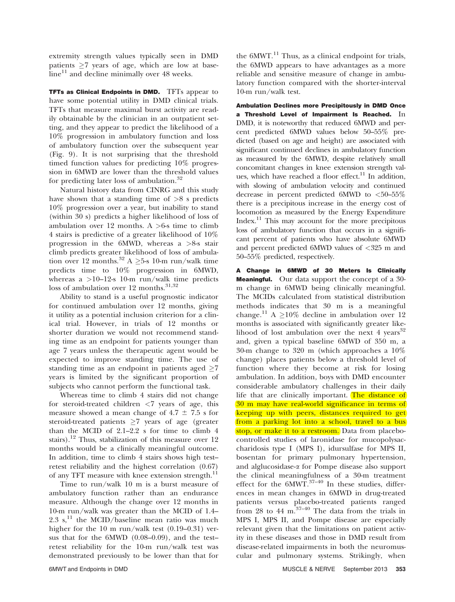extremity strength values typically seen in DMD patients  $\geq 7$  years of age, which are low at base $line$ <sup>11</sup> and decline minimally over 48 weeks.

TFTs as Clinical Endpoints in DMD. TFTs appear to have some potential utility in DMD clinical trials. TFTs that measure maximal burst activity are readily obtainable by the clinician in an outpatient setting, and they appear to predict the likelihood of a 10% progression in ambulatory function and loss of ambulatory function over the subsequent year (Fig. 9). It is not surprising that the threshold timed function values for predicting 10% progression in 6MWD are lower than the threshold values for predicting later loss of ambulation.<sup>32</sup>

Natural history data from CINRG and this study have shown that a standing time of  $>8$  s predicts 10% progression over a year, but inability to stand (within 30 s) predicts a higher likelihood of loss of ambulation over 12 months. A  $>6$ -s time to climb 4 stairs is predictive of a greater likelihood of 10% progression in the 6MWD, whereas a >8-s stair climb predicts greater likelihood of loss of ambulation over 12 months.<sup>32</sup> A  $\geq$ 5-s 10-m run/walk time predicts time to 10% progression in 6MWD, whereas a  $>10-12$ -s 10-m run/walk time predicts loss of ambulation over 12 months.<sup>31,32</sup>

Ability to stand is a useful prognostic indicator for continued ambulation over 12 months, giving it utility as a potential inclusion criterion for a clinical trial. However, in trials of 12 months or shorter duration we would not recommend standing time as an endpoint for patients younger than age 7 years unless the therapeutic agent would be expected to improve standing time. The use of standing time as an endpoint in patients aged  $\geq 7$ years is limited by the significant proportion of subjects who cannot perform the functional task.

Whereas time to climb 4 stairs did not change for steroid-treated children  $\langle 7 \rangle$  years of age, this measure showed a mean change of  $4.7 \pm 7.5$  s for steroid-treated patients  $\geq 7$  years of age (greater than the MCID of 2.1–2.2 s for time to climb 4 stairs).<sup>12</sup> Thus, stabilization of this measure over 12 months would be a clinically meaningful outcome. In addition, time to climb 4 stairs shows high test– retest reliability and the highest correlation (0.67) of any TFT measure with knee extension strength.<sup>11</sup>

Time to run/walk 10 m is a burst measure of ambulatory function rather than an endurance measure. Although the change over 12 months in 10-m run/walk was greater than the MCID of 1.4– 2.3 s,<sup>11</sup> the MCID/baseline mean ratio was much higher for the 10 m run/walk test (0.19–0.31) versus that for the 6MWD (0.08–0.09), and the test– retest reliability for the 10-m run/walk test was demonstrated previously to be lower than that for

the  $6MWT.<sup>11</sup>$  Thus, as a clinical endpoint for trials, the 6MWD appears to have advantages as a more reliable and sensitive measure of change in ambulatory function compared with the shorter-interval 10-m run/walk test.

Ambulation Declines more Precipitously in DMD Once a Threshold Level of Impairment Is Reached. In DMD, it is noteworthy that reduced 6MWD and percent predicted 6MWD values below 50–55% predicted (based on age and height) are associated with significant continued declines in ambulatory function as measured by the 6MWD, despite relatively small concomitant changes in knee extension strength values, which have reached a floor effect.<sup>11</sup> In addition, with slowing of ambulation velocity and continued decrease in percent predicted 6MWD to  $<$ 50-55% there is a precipitous increase in the energy cost of locomotion as measured by the Energy Expenditure Index.11 This may account for the more precipitous loss of ambulatory function that occurs in a significant percent of patients who have absolute 6MWD and percent predicted 6MWD values of <325 m and 50–55% predicted, respectively.

A Change in 6MWD of 30 Meters Is Clinically **Meaningful.** Our data support the concept of a 30m change in 6MWD being clinically meaningful. The MCIDs calculated from statistical distribution methods indicates that 30 m is a meaningful change.<sup>11</sup> A  $\geq$ 10% decline in ambulation over 12 months is associated with significantly greater likelihood of lost ambulation over the next 4 years $32$ and, given a typical baseline 6MWD of 350 m, a 30-m change to 320 m (which approaches a 10% change) places patients below a threshold level of function where they become at risk for losing ambulation. In addition, boys with DMD encounter considerable ambulatory challenges in their daily life that are clinically important. The distance of 30 m may have real-world significance in terms of keeping up with peers, distances required to get from a parking lot into a school, travel to a bus stop, or make it to a restroom. Data from placebocontrolled studies of laronidase for mucopolysaccharidosis type I (MPS I), idursulfase for MPS II, bosentan for primary pulmonary hypertension, and alglucosidase-a for Pompe disease also support the clinical meaningfulness of a 30-m treatment effect for the  $6MWT$ .<sup>37–40</sup> In these studies, differences in mean changes in 6MWD in drug-treated patients versus placebo-treated patients ranged from 28 to 44  $\text{m}$ <sup>37–40</sup> The data from the trials in MPS I, MPS II, and Pompe disease are especially relevant given that the limitations on patient activity in these diseases and those in DMD result from disease-related impairments in both the neuromuscular and pulmonary systems. Strikingly, when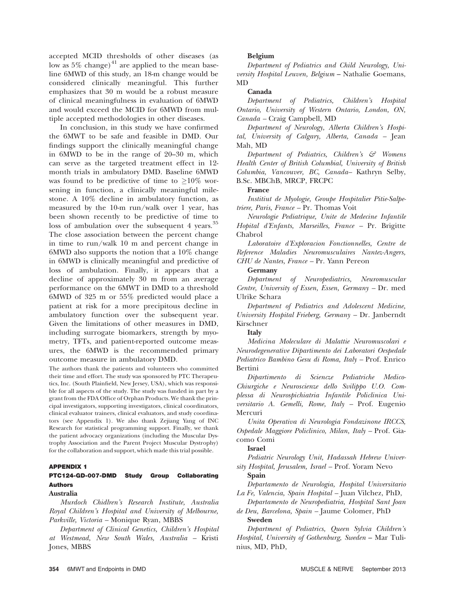accepted MCID thresholds of other diseases (as low as  $5\%$  change)<sup>41</sup> are applied to the mean baseline 6MWD of this study, an 18-m change would be considered clinically meaningful. This further emphasizes that 30 m would be a robust measure of clinical meaningfulness in evaluation of 6MWD and would exceed the MCID for 6MWD from multiple accepted methodologies in other diseases.

In conclusion, in this study we have confirmed the 6MWT to be safe and feasible in DMD. Our findings support the clinically meaningful change in 6MWD to be in the range of 20–30 m, which can serve as the targeted treatment effect in 12 month trials in ambulatory DMD. Baseline 6MWD was found to be predictive of time to  $\geq$ 10% worsening in function, a clinically meaningful milestone. A 10% decline in ambulatory function, as measured by the 10-m run/walk over 1 year, has been shown recently to be predictive of time to loss of ambulation over the subsequent 4 years.<sup>35</sup> The close association between the percent change in time to run/walk 10 m and percent change in 6MWD also supports the notion that a 10% change in 6MWD is clinically meaningful and predictive of loss of ambulation. Finally, it appears that a decline of approximately 30 m from an average performance on the 6MWT in DMD to a threshold 6MWD of 325 m or 55% predicted would place a patient at risk for a more precipitous decline in ambulatory function over the subsequent year. Given the limitations of other measures in DMD, including surrogate biomarkers, strength by myometry, TFTs, and patient-reported outcome measures, the 6MWD is the recommended primary outcome measure in ambulatory DMD.

The authors thank the patients and volunteers who committed their time and effort. The study was sponsored by PTC Therapeutics, Inc. (South Plainfield, New Jersey, USA), which was responsible for all aspects of the study. The study was funded in part by a grant from the FDA Office of Orphan Products. We thank the principal investigators, supporting investigators, clinical coordinators, clinical evaluator trainers, clinical evaluators, and study coordinators (see Appendix 1). We also thank Zejiang Yang of INC Research for statistical programming support. Finally, we thank the patient advocacy organizations (including the Muscular Dystrophy Association and the Parent Project Muscular Dystrophy) for the collaboration and support, which made this trial possible.

# APPENDIX 1

# PTC124-GD-007-DMD Study Group Collaborating Authors

# Australia

Murdoch Chidlren's Research Institute, Australia Royal Children's Hospital and University of Melbourne, Parkville, Victoria – Monique Ryan, MBBS

Department of Clinical Genetics, Children's Hospital at Westmead, New South Wales, Australia – Kristi Jones, MBBS

### Belgium

Department of Pediatrics and Child Neurology, University Hospital Leuven, Belgium – Nathalie Goemans, MD

#### Canada

Department of Pediatrics, Children's Hospital Ontario, University of Western Ontario, London, ON, Canada – Craig Campbell, MD

Department of Neurology, Alberta Children's Hospital, University of Calgary, Alberta, Canada – Jean Mah, MD

Department of Pediatrics, Children's  $\mathcal{F}$  Womens Health Center of British Columbial, University of British Columbia, Vancouver, BC, Canada– Kathryn Selby, B.Sc. MBChB, MRCP, FRCPC

#### France

Institiut de Myologie, Groupe Hospitalier Pitie-Salpetriere, Paris, France – Pr. Thomas Voit

Neurologie Pediatrique, Unite de Medecine Infantile Hopital d'Enfants, Marseilles, France – Pr. Brigitte Chabrol

Laboratoire d'Exploracion Fonctionnelles, Centre de Reference Maladies Neuromusculaires Nantez-Angers, CHU de Nantes, France – Pr. Yann Pereon

# Germany

Department of Neuropediatrics, Neuromuscular Centre, University of Essen, Essen, Germany – Dr. med Ulrike Schara

Department of Pediatrics and Adolescent Medicine, University Hospital Frieberg, Germany – Dr. Janberndt Kirschner

#### Italy

Medicina Moleculare di Malattie Neuromuscolari e Neurodegenerative Dipartimento dei Laboratori Oespedale Pediatrico Bambino Gesu di Roma, Italy – Prof. Enrico Bertini

Dipartimento di Sciencze Pediatriche Medico-Chiurgiche e Neuroscienze dello Svilippo U.O. Complessa di Neurospichiatria Infantile Policlinica Universitario A. Gemelli, Rome, Italy – Prof. Eugenio Mercuri

Unita Operativa di Neurologia Fondazinone IRCCS, Ospedale Maggiore Policlinico, Milan, Italy – Prof. Giacomo Comi

# Israel

Pediatric Neurology Unit, Hadassah Hebrew University Hospital, Jerusalem, Israel – Prof. Yoram Nevo

### Spain

Departamento de Neurologia, Hospital Universitario La Fe, Valencia, Spain Hospital – Juan Vilchez, PhD,

Departamento de Neuropediatria, Hospital Sant Joan de Deu, Barcelona, Spain – Jaume Colomer, PhD Sweden

Department of Pediatrics, Queen Sylvia Children's Hospital, University of Gothenburg, Sweden – Mar Tulinius, MD, PhD,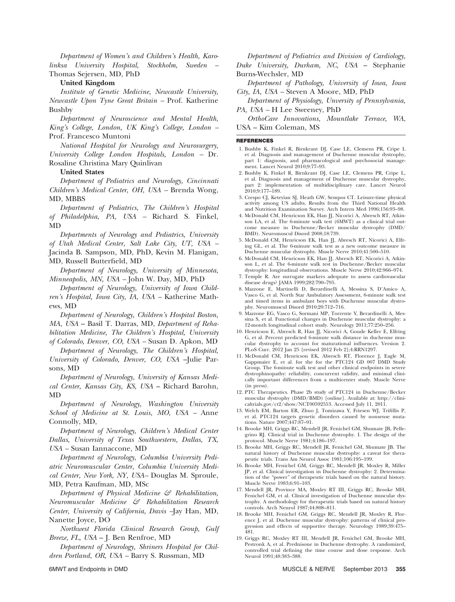Department of Women's and Children's Health, Karolinksa University Hospital, Stockholm, Sweden – Thomas Sejersen, MD, PhD

# United Kingdom

Institute of Genetic Medicine, Newcastle University, Newcastle Upon Tyne Great Britain – Prof. Katherine Bushby

Department of Neuroscience and Mental Health, King's College, London, UK King's College, London – Prof. Francesco Muntoni

National Hospital for Neurology and Neurosurgery, University College London Hospitals, London – Dr. Rosaline Christina Mary Quinlivan

### United States

Department of Pediatrics and Neurology, Cincinnati Children's Medical Center, OH, USA – Brenda Wong, MD, MBBS

Department of Pediatrics, The Children's Hospital of Philadelphia, PA, USA – Richard S. Finkel, MD

Departments of Neurology and Pediatrics, University of Utah Medical Center, Salt Lake City, UT, USA – Jacinda B. Sampson, MD, PhD, Kevin M. Flanigan, MD, Russell Butterfield, MD

Department of Neurology, University of Minnesota, Minneapolis, MN, USA – John W. Day, MD, PhD

Department of Neurology, University of Iowa Children's Hospital, Iowa City, IA, USA – Katherine Mathews, MD

Department of Neurology, Children's Hospital Boston, MA, USA – Basil T. Darras, MD, Department of Rehabilitation Medicine, The Children's Hospital, University of Colorado, Denver, CO, USA – Susan D. Apkon, MD

Department of Neurology, The Children's Hospital, University of Colorado, Denver, CO, USA –Julie Parsons, MD

Department of Neurology, University of Kansas Medical Center, Kansas City, KS, USA – Richard Barohn, MD

Department of Neurology, Washington University School of Medicine at St. Louis, MO, USA – Anne Connolly, MD,

Department of Neurology, Children's Medical Center Dallas, University of Texas Southwestern, Dallas, TX, USA – Susan Iannaccone, MD

Department of Neurology, Columbia University Pediatric Neuromuscular Center, Columbia University Medical Center, New York, NY, USA– Douglas M. Sproule, MD, Petra Kaufman, MD, MSc

Department of Physical Medicine  $\mathcal{F}$  Rehabilitation, Neuromuscular Medicine & Rehabilitation Research Center, University of California, Davis –Jay Han, MD, Nanette Joyce, DO

Northwest Florida Clinical Research Group, Gulf Breeze, FL, USA – J. Ben Renfroe, MD

Department of Neurology, Shriners Hospital for Children Portland, OR, USA – Barry S. Russman, MD

Department of Pediatrics and Division of Cardiology, Duke University, Durham, NC, USA – Stephanie Burns-Wechsler, MD

Department of Pathology, University of Iowa, Iowa City, IA, USA – Steven A Moore, MD, PhD

Department of Physiology, Unversity of Pennsylvania, PA, USA – H Lee Sweeney, PhD

OrthoCare Innovations, Mountlake Terrace, WA, USA – Kim Coleman, MS

### REFERENCES

- 1. Bushby K, Finkel R, Birnkrant DJ, Case LE, Clemens PR, Cripe L et al. Diagnosis and management of Duchenne muscular dystrophy, part 1: diagnosis, and pharmacological and psychosocial management. Lancet Neurol 2010;9:77–93.
- 2. Bushby K, Finkel R, Birnkrant DJ, Case LE, Clemens PR, Cripe L, et al. Diagnosis and management of Duchenne muscular dystrophy, part 2: implementation of multidisciplinary care. Lancet Neurol 2010;9:177–189.
- 3. Crespo CJ, Keteyian SJ, Heath GW, Sempos CT. Leisure-time physical activity among US adults. Results from the Third National Health and Nutrition Examination Survey. Arch Intern Med 1996;156:93–98.
- 4. McDonald CM, Henricson EK, Han JJ, Nicorici A, Abresch RT, Atkinson LA, et al. The 6-minute walk test (6MWT) as a clinical trial outcome measure in Duchenne/Becker muscular dystrophy (DMD/ BMD). Neuromuscul Disord 2008;18:739.
- 5. McDonald CM, Henricson EK, Han JJ, Abresch RT, Nicorici A, Elfring GL, et al. The 6-minute walk test as a new outcome measure in Duchenne muscular dystrophy. Muscle Nerve 2010;41:500–510.
- 6. McDonald CM, Henricson EK, Han JJ, Abresch RT, Nicorici A, Atkinson L, et al. The 6-minute walk test in Duchenne/Becker muscular dystrophy: longitudinal observations. Muscle Nerve 2010;42:966–974.
- 7. Temple R. Are surrogate markers adequate to assess cardiovascular disease drugs? JAMA 1999;282:790–795.
- 8. Mazzone E, Martinelli D, Berardinelli A, Messina S, D'Amico A, Vasco G, et al. North Star Ambulatory Assessment, 6-minute walk test and timed items in ambulant boys with Duchenne muscular dystrophy. Neuromuscul Disord 2010;20:712–716.
- 9. Mazzone EG, Vasco G, Sormani MP, Torrente Y, Berardinelli A, Messina S, et al. Functional changes in Duchenne muscular dystrophy: a 12-month longitudinal cohort study. Neurology 2011;77:250–256.
- 10. Henricson E, Abresch R, Han JJ, Nicorici A, Goude Keller E, Elfring G, et al. Percent predicted 6-minute walk distance in duchenne muscular dystrophy to account for maturational influences. Version 2. PLoS Curr. 2012 Jan 25 [revised 2012 Feb 2];4:RRN1297.
- 11. McDonald CM, Henricson EK, Abresch RT, Florence J, Eagle M, Gappmaier E, et al. for the for the PTC124 GD 007 DMD Study Group. The 6-minute walk test and other clinical endpoints in severe dystrophinopathy: reliability, concurrent validity, and minimal clini-cally important differences from a multicenter study. Muscle Nerve (in press).
- 12. PTC Therapeutics. Phase 2b study of PTC124 in Duchenne/Becker muscular dystrophy (DMD/BMD) [online]. Available at: [http://clini](http://clinicaltrials.gov/ct2/show/NCT00592553)[caltrials.gov/ct2/show/NCT00592553.](http://clinicaltrials.gov/ct2/show/NCT00592553) Accessed July 11, 2011.
- 13. Welch EM, Barton ER, Zhuo J, Tomizawa Y, Friesen WJ, Trifillis P, et al. PTC124 targets genetic disorders caused by nonsense mutations. Nature 2007;447:87–91.
- 14. Brooke MH, Griggs RC, Mendell JR, Fenichel GM, Shumate JB, Pellegrino RJ. Clinical trial in Duchenne dystrophy. I. The design of the protocol. Muscle Nerve 1981;4:186–197.
- 15. Brooke MH, Griggs RC, Mendell JR, Fenichel GM, Shumate JB. The natural history of Duchenne muscular dystrophy: a caveat for therapeutic trials. Trans Am Neurol Assoc 1981;106:195–199.
- 16. Brooke MH, Fenichel GM, Griggs RC, Mendell JR, Moxley R, Miller JP, et al. Clinical investigation in Duchenne dystrophy: 2. Determination of the "power" of therapeutic trials based on the natural history. Muscle Nerve 1983;6:91–103.
- 17. Mendell JR, Province MA, Moxley RT III, Griggs RC, Brooke MH, Fenichel GM, et al. Clinical investigation of Duchenne muscular dystrophy. A methodology for therapeutic trials based on natural history controls. Arch Neurol 1987;44:808–811.
- 18. Brooke MH, Fenichel GM, Griggs RC, Mendell JR, Moxley R, Florence J, et al. Duchenne muscular dystrophy: patterns of clinical progression and effects of supportive therapy. Neurology 1989;39:475– 481.
- 19. Griggs RC, Moxley RT III, Mendell JR, Fenichel GM, Brooke MH, Pestronk A, et al. Prednisone in Duchenne dystrophy. A randomized, controlled trial defining the time course and dose response. Arch Neurol 1991;48:383–388.